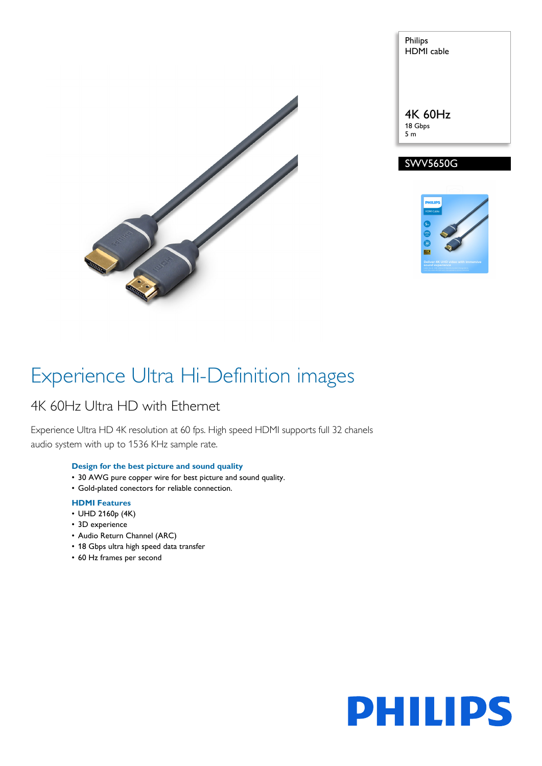

Philips HDMI cable 4K 60Hz 18 Gbps 5 m





## Experience Ultra Hi-Definition images

## 4K 60Hz Ultra HD with Ethernet

Experience Ultra HD 4K resolution at 60 fps. High speed HDMI supports full 32 chanels audio system with up to 1536 KHz sample rate.

## **Design for the best picture and sound quality**

- 30 AWG pure copper wire for best picture and sound quality.
- Gold-plated conectors for reliable connection.

## **HDMI Features**

- UHD 2160p (4K)
- 3D experience
- Audio Return Channel (ARC)
- 18 Gbps ultra high speed data transfer
- 60 Hz frames per second